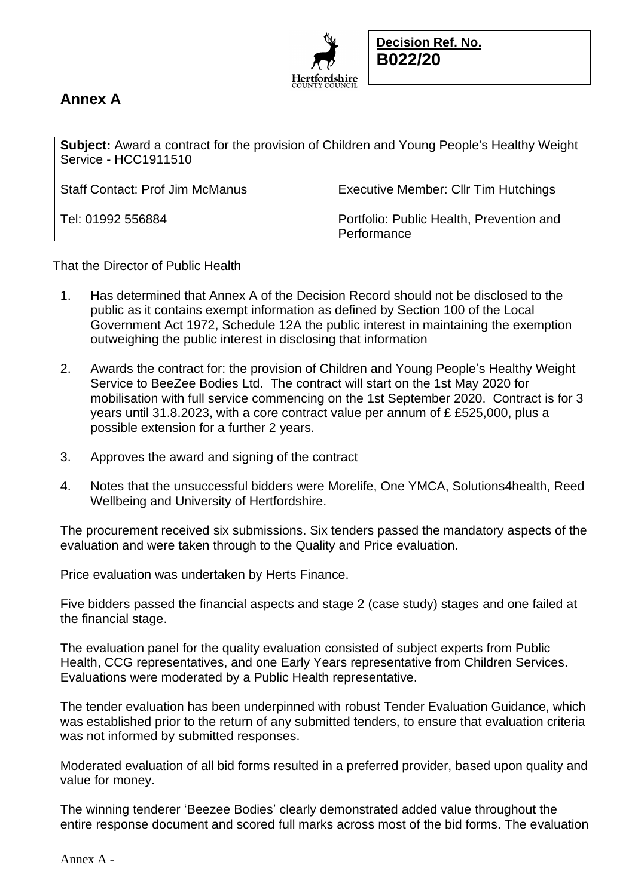

## **Annex A**

| <b>Subject:</b> Award a contract for the provision of Children and Young People's Healthy Weight<br>Service - HCC1911510 |                                                         |
|--------------------------------------------------------------------------------------------------------------------------|---------------------------------------------------------|
| <b>Staff Contact: Prof Jim McManus</b>                                                                                   | <b>Executive Member: Cllr Tim Hutchings</b>             |
| Tel: 01992 556884                                                                                                        | Portfolio: Public Health, Prevention and<br>Performance |

That the Director of Public Health

- 1. Has determined that Annex A of the Decision Record should not be disclosed to the public as it contains exempt information as defined by Section 100 of the Local Government Act 1972, Schedule 12A the public interest in maintaining the exemption outweighing the public interest in disclosing that information
- 2. Awards the contract for: the provision of Children and Young People's Healthy Weight Service to BeeZee Bodies Ltd. The contract will start on the 1st May 2020 for mobilisation with full service commencing on the 1st September 2020. Contract is for 3 years until 31.8.2023, with a core contract value per annum of £ £525,000, plus a possible extension for a further 2 years.
- 3. Approves the award and signing of the contract
- 4. Notes that the unsuccessful bidders were Morelife, One YMCA, Solutions4health, Reed Wellbeing and University of Hertfordshire.

The procurement received six submissions. Six tenders passed the mandatory aspects of the evaluation and were taken through to the Quality and Price evaluation.

Price evaluation was undertaken by Herts Finance.

Five bidders passed the financial aspects and stage 2 (case study) stages and one failed at the financial stage.

The evaluation panel for the quality evaluation consisted of subject experts from Public Health, CCG representatives, and one Early Years representative from Children Services. Evaluations were moderated by a Public Health representative.

The tender evaluation has been underpinned with robust Tender Evaluation Guidance, which was established prior to the return of any submitted tenders, to ensure that evaluation criteria was not informed by submitted responses.

Moderated evaluation of all bid forms resulted in a preferred provider, based upon quality and value for money.

The winning tenderer 'Beezee Bodies' clearly demonstrated added value throughout the entire response document and scored full marks across most of the bid forms. The evaluation